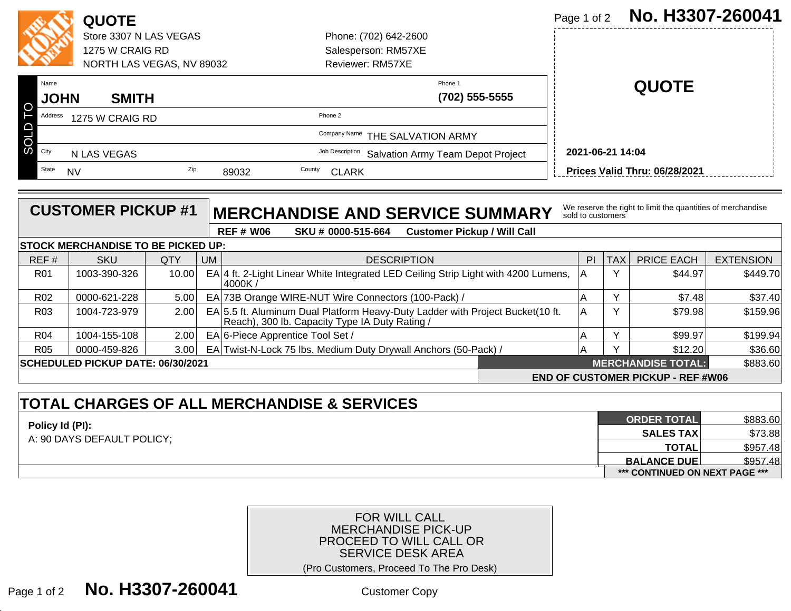|                                                |             | <b>QUOTE</b>              |     |                                 |                                                      |                       |                | Page 1 of 2      | No. H3307-260041              |
|------------------------------------------------|-------------|---------------------------|-----|---------------------------------|------------------------------------------------------|-----------------------|----------------|------------------|-------------------------------|
|                                                |             | Store 3307 N LAS VEGAS    |     |                                 |                                                      | Phone: (702) 642-2600 |                |                  |                               |
|                                                |             | 1275 W CRAIG RD           |     |                                 |                                                      | Salesperson: RM57XE   |                |                  |                               |
|                                                |             | NORTH LAS VEGAS, NV 89032 |     |                                 |                                                      | Reviewer: RM57XE      |                |                  |                               |
|                                                | Name        |                           |     |                                 |                                                      |                       | Phone 1        |                  | <b>QUOTE</b>                  |
|                                                | <b>JOHN</b> | <b>SMITH</b>              |     |                                 |                                                      |                       | (702) 555-5555 |                  |                               |
|                                                | Address     | 1275 W CRAIG RD           |     |                                 | Phone 2                                              |                       |                |                  |                               |
|                                                |             |                           |     | Company Name THE SALVATION ARMY |                                                      |                       |                |                  |                               |
| $\overline{\text{O}}$ $\overline{\text{City}}$ |             | N LAS VEGAS               |     |                                 | Job Description<br>Salvation Army Team Depot Project |                       |                | 2021-06-21 14:04 |                               |
|                                                | State       | <b>NV</b>                 | Zip | 89032                           | County<br><b>CLARK</b>                               |                       |                |                  | Prices Valid Thru: 06/28/2021 |

|                 | <b>CUSTOMER PICKUP #1</b>                 |       |           |                | <b>MERCHANDISE AND SERVICE SUMMARY</b>                                                                                           |                                                                                                           | sold to customers |            | We reserve the right to limit the quantities of merchandise                  |                                             |
|-----------------|-------------------------------------------|-------|-----------|----------------|----------------------------------------------------------------------------------------------------------------------------------|-----------------------------------------------------------------------------------------------------------|-------------------|------------|------------------------------------------------------------------------------|---------------------------------------------|
|                 |                                           |       |           | <b>REF#W06</b> | SKU # 0000-515-664                                                                                                               | <b>Customer Pickup / Will Call</b>                                                                        |                   |            |                                                                              |                                             |
|                 | <b>STOCK MERCHANDISE TO BE PICKED UP:</b> |       |           |                |                                                                                                                                  |                                                                                                           |                   |            |                                                                              |                                             |
| REF#            | <b>SKU</b>                                | QTY   | <b>UM</b> |                |                                                                                                                                  | <b>DESCRIPTION</b>                                                                                        | P                 | <b>TAX</b> | <b>PRICE EACH</b>                                                            | <b>EXTENSION</b>                            |
| <b>R01</b>      | 1003-390-326                              | 10.00 |           | 4000K/         | $EA$ 4 ft. 2-Light Linear White Integrated LED Ceiling Strip Light with 4200 Lumens,                                             |                                                                                                           | lA.               | Y          | \$44.97                                                                      | \$449.70                                    |
| R <sub>02</sub> | 0000-621-228                              | 5.00  |           |                | EA 73B Orange WIRE-NUT Wire Connectors (100-Pack) /                                                                              |                                                                                                           | А                 | Y          | \$7.48                                                                       | \$37.40                                     |
| R <sub>03</sub> | 1004-723-979                              | 2.00  |           |                | EA 5.5 ft. Aluminum Dual Platform Heavy-Duty Ladder with Project Bucket(10 ft.<br>Reach), 300 lb. Capacity Type IA Duty Rating / |                                                                                                           | A                 | Υ          | \$79.98                                                                      | \$159.96                                    |
| <b>R04</b>      | 1004-155-108                              | 2.00  |           |                | EA 6-Piece Apprentice Tool Set /                                                                                                 |                                                                                                           | A                 | Υ          | \$99.97                                                                      | \$199.94                                    |
| <b>R05</b>      | 0000-459-826                              | 3.00  |           |                | EA Twist-N-Lock 75 lbs. Medium Duty Drywall Anchors (50-Pack) /                                                                  |                                                                                                           | A                 | v          | \$12.20                                                                      | \$36.60                                     |
|                 | SCHEDULED PICKUP DATE: 06/30/2021         |       |           |                |                                                                                                                                  |                                                                                                           |                   |            | <b>MERCHANDISE TOTAL:</b>                                                    | \$883.60                                    |
|                 |                                           |       |           |                |                                                                                                                                  |                                                                                                           |                   |            | <b>END OF CUSTOMER PICKUP - REF #W06</b>                                     |                                             |
| Policy Id (PI): | A: 90 DAYS DEFAULT POLICY;                |       |           |                |                                                                                                                                  |                                                                                                           |                   |            | <b>ORDER TOTAL</b><br><b>SALES TAX</b><br><b>TOTAL</b><br><b>BALANCE DUE</b> | \$883.60<br>\$73.88<br>\$957.48<br>\$957.48 |
|                 |                                           |       |           |                |                                                                                                                                  | <b>FOR WILL CALL</b><br><b>MERCHANDISE PICK-UP</b><br>PROCEED TO WILL CALL OR<br><b>SERVICE DESK AREA</b> |                   |            | *** CONTINUED ON NEXT PAGE ***                                               |                                             |
| Page 1 of 2     | No. H3307-260041                          |       |           |                | (Pro Customers, Proceed To The Pro Desk)                                                                                         | <b>Customer Copy</b>                                                                                      |                   |            |                                                                              |                                             |

| <b>TOTAL CHARGES OF ALL MERCHANDISE &amp; SERVICES</b> |                                |          |
|--------------------------------------------------------|--------------------------------|----------|
| Policy Id (PI):                                        | <b>ORDER TOTAL</b>             | \$883.60 |
| A: 90 DAYS DEFAULT POLICY;                             | <b>SALES TAXI</b>              | \$73.88  |
|                                                        | <b>TOTAL</b>                   | \$957.48 |
|                                                        | <b>BALANCE DUE</b>             | \$957.48 |
|                                                        | *** CONTINUED ON NEXT PAGE *** |          |

## FOR WILL CALL MERCHANDISE PICK-UP PROCEED TO WILL CALL ORSERVICE DESK AREA (Pro Customers, Proceed To The Pro Desk)